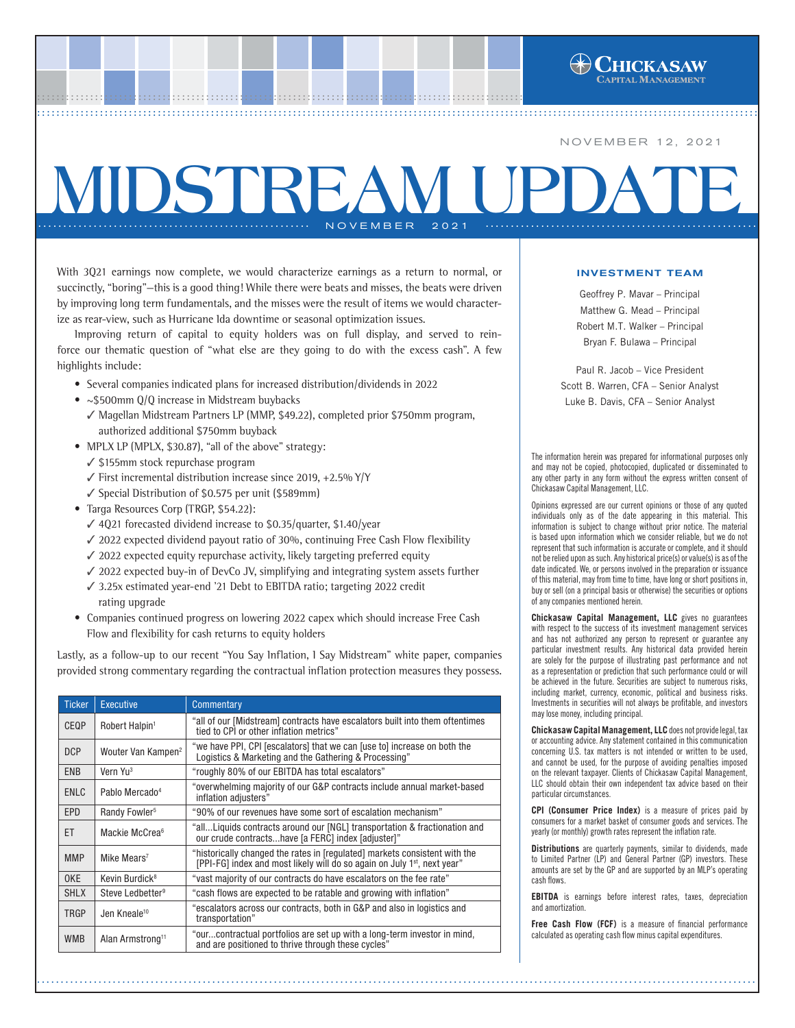With 3Q21 earnings now complete, we would characterize earnings as a return to normal, or succinctly, "boring"—this is a good thing! While there were beats and misses, the beats were driven by improving long term fundamentals, and the misses were the result of items we would characterize as rear-view, such as Hurricane Ida downtime or seasonal optimization issues.

**MIDSTREAM UP** 

................................................................................................ ..... ................................................................................................ ..... ................................................................................................ ....[..................................................](http://www.chickasawcap.com) ................................................................................................ ......................................................

...................................................... NOVEMBER 2021 ......................................................

Improving return of capital to equity holders was on full display, and served to reinforce our thematic question of "what else are they going to do with the excess cash". A few highlights include:

- Several companies indicated plans for increased distribution/dividends in 2022
- ~\$500mm Q/Q increase in Midstream buybacks
	- ✓ Magellan Midstream Partners LP (MMP, \$49.22), completed prior \$750mm program, authorized additional \$750mm buyback
- MPLX LP (MPLX, \$30.87), "all of the above" strategy:
	- ✓ \$155mm stock repurchase program
	- ✓ First incremental distribution increase since 2019, +2.5% Y/Y
	- ✓ Special Distribution of \$0.575 per unit (\$589mm)
- Targa Resources Corp (TRGP, \$54.22):
	- ✓ 4Q21 forecasted dividend increase to \$0.35/quarter, \$1.40/year
	- ✓ 2022 expected dividend payout ratio of 30%, continuing Free Cash Flow flexibility
	- ✓ 2022 expected equity repurchase activity, likely targeting preferred equity
	- ✓ 2022 expected buy-in of DevCo JV, simplifying and integrating system assets further
	- ✓ 3.25x estimated year-end '21 Debt to EBITDA ratio; targeting 2022 credit rating upgrade
- Companies continued progress on lowering 2022 capex which should increase Free Cash Flow and flexibility for cash returns to equity holders

Lastly, as a follow-up to our recent "You Say Inflation, I Say Midstream" white paper, companies provided strong commentary regarding the contractual inflation protection measures they possess.

| <b>Ticker</b> | Executive                      | Commentary                                                                                                                                                         |
|---------------|--------------------------------|--------------------------------------------------------------------------------------------------------------------------------------------------------------------|
| <b>CEOP</b>   | Robert Halpin <sup>1</sup>     | "all of our [Midstream] contracts have escalators built into them oftentimes<br>tied to CPI or other inflation metrics"                                            |
| <b>DCP</b>    | Wouter Van Kampen <sup>2</sup> | "we have PPI, CPI [escalators] that we can [use to] increase on both the<br>Logistics & Marketing and the Gathering & Processing"                                  |
| <b>ENB</b>    | Vern Yu <sup>3</sup>           | "roughly 80% of our EBITDA has total escalators"                                                                                                                   |
| ENLC          | Pablo Mercado <sup>4</sup>     | "overwhelming majority of our G&P contracts include annual market-based<br>inflation adjusters"                                                                    |
| <b>EPD</b>    | Randy Fowler <sup>5</sup>      | "90% of our revenues have some sort of escalation mechanism"                                                                                                       |
| ET            | Mackie McCrea <sup>6</sup>     | "allLiquids contracts around our [NGL] transportation & fractionation and<br>our crude contractshave [a FERC] index [adjuster]"                                    |
| <b>MMP</b>    | Mike Mears <sup>7</sup>        | "historically changed the rates in [regulated] markets consistent with the<br>[PPI-FG] index and most likely will do so again on July 1 <sup>st</sup> , next year" |
| 0KE           | Kevin Burdick <sup>8</sup>     | "vast majority of our contracts do have escalators on the fee rate"                                                                                                |
| <b>SHLX</b>   | Steve Ledbetter <sup>9</sup>   | "cash flows are expected to be ratable and growing with inflation"                                                                                                 |
| <b>TRGP</b>   | Jen Kneale <sup>10</sup>       | "escalators across our contracts, both in G&P and also in logistics and<br>transportation"                                                                         |
| <b>WMB</b>    | Alan Armstrong <sup>11</sup>   | "ourcontractual portfolios are set up with a long-term investor in mind,<br>and are positioned to thrive through these cycles"                                     |

............................................................................................................................... .........................

## INVESTMENT TEAM

NOVEMBER 12, 2021

Geoffrey P. Mavar – Principal Matthew G. Mead – Principal Robert M.T. Walker – Principal Bryan F. Bulawa – Principal

Paul R. Jacob – Vice President Scott B. Warren, CFA – Senior Analyst Luke B. Davis, CFA – Senior Analyst

The information herein was prepared for informational purposes only and may not be copied, photocopied, duplicated or disseminated to any other party in any form without the express written consent of Chickasaw Capital Management, LLC.

Opinions expressed are our current opinions or those of any quoted individuals only as of the date appearing in this material. This information is subject to change without prior notice. The material is based upon information which we consider reliable, but we do not represent that such information is accurate or complete, and it should not be relied upon as such. Any historical price(s) or value(s) is as of the date indicated. We, or persons involved in the preparation or issuance of this material, may from time to time, have long or short positions in, buy or sell (on a principal basis or otherwise) the securities or options of any companies mentioned herein.

**Chickasaw Capital Management, LLC** gives no guarantees with respect to the success of its investment management services and has not authorized any person to represent or guarantee any particular investment results. Any historical data provided herein are solely for the purpose of illustrating past performance and not as a representation or prediction that such performance could or will be achieved in the future. Securities are subject to numerous risks, including market, currency, economic, political and business risks. Investments in securities will not always be profitable, and investors may lose money, including principal.

**Chickasaw Capital Management, LLC** does not provide legal, tax or accounting advice. Any statement contained in this communication concerning U.S. tax matters is not intended or written to be used, and cannot be used, for the purpose of avoiding penalties imposed on the relevant taxpayer. Clients of Chickasaw Capital Management, LLC should obtain their own independent tax advice based on their particular circumstances.

**CPI (Consumer Price Index)** is a measure of prices paid by consumers for a market basket of consumer goods and services. The yearly (or monthly) growth rates represent the inflation rate.

**Distributions** are quarterly payments, similar to dividends, made to Limited Partner (LP) and General Partner (GP) investors. These amounts are set by the GP and are supported by an MLP's operating cash flows.

**EBITDA** is earnings before interest rates, taxes, depreciation and amortization.

**Free Cash Flow (FCF)** is a measure of financial performance calculated as operating cash flow minus capital expenditures.